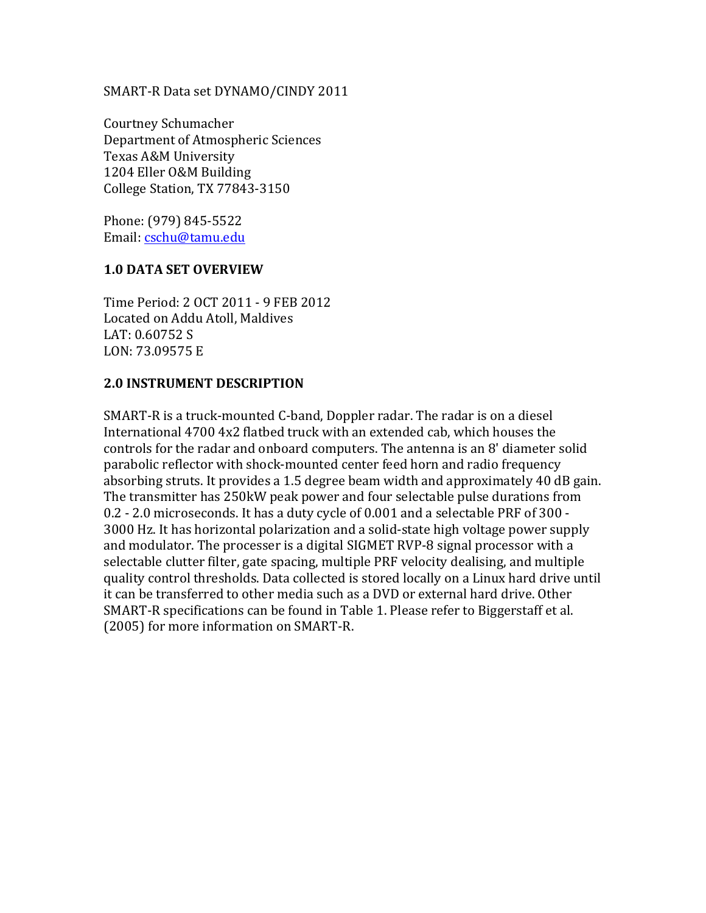#### SMART-R Data set DYNAMO/CINDY 2011

Courtney Schumacher Department of Atmospheric Sciences Texas A&M University 1204 Eller O&M Building College Station, TX 77843-3150

Phone: (979) 845-5522 Email: cschu@tamu.edu

#### **1.0 DATA SET OVERVIEW**

Time Period: 2 OCT 2011 - 9 FEB 2012 Located on Addu Atoll, Maldives LAT: 0.60752 S LON: 73.09575 E

#### **2.0 INSTRUMENT DESCRIPTION**

SMART-R is a truck-mounted C-band, Doppler radar. The radar is on a diesel International 4700 4x2 flatbed truck with an extended cab, which houses the controls for the radar and onboard computers. The antenna is an 8' diameter solid parabolic reflector with shock-mounted center feed horn and radio frequency absorbing struts. It provides a 1.5 degree beam width and approximately 40 dB gain. The transmitter has 250kW peak power and four selectable pulse durations from 0.2 - 2.0 microseconds. It has a duty cycle of 0.001 and a selectable PRF of 300 -3000'Hz.'It'has'horizontal'polarization'and'a'solid&state'high'voltage'power'supply' and modulator. The processer is a digital SIGMET RVP-8 signal processor with a selectable clutter filter, gate spacing, multiple PRF velocity dealising, and multiple quality'control'thresholds.'Data'collected'is'stored'locally'on'a'Linux'hard'drive'until' it can be transferred to other media such as a DVD or external hard drive. Other SMART-R specifications can be found in Table 1. Please refer to Biggerstaff et al. (2005) for more information on SMART-R.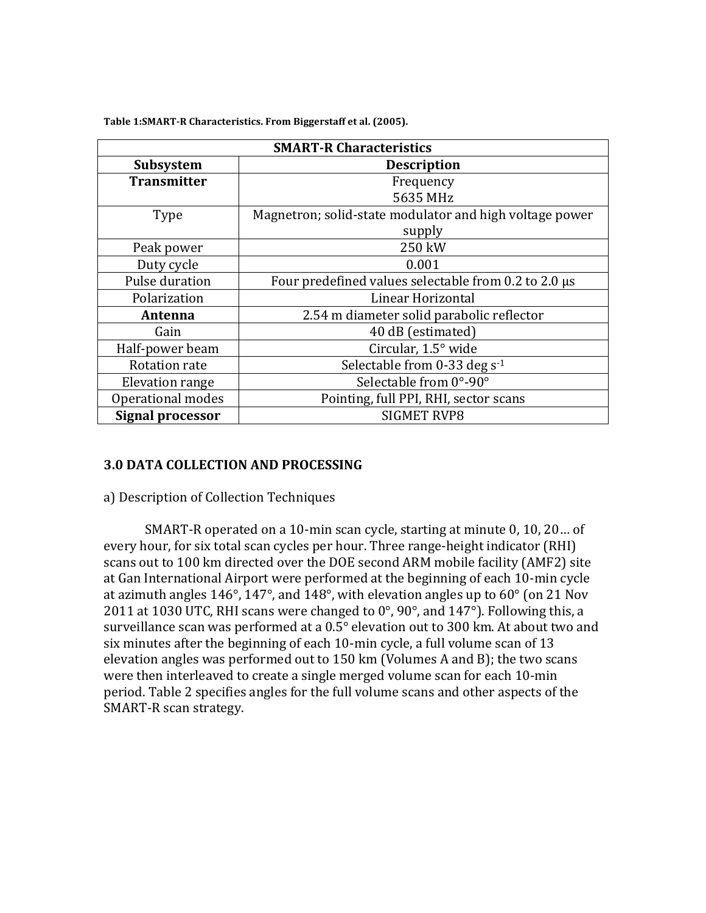| <b>SMART-R Characteristics</b> |                                                         |  |  |  |  |
|--------------------------------|---------------------------------------------------------|--|--|--|--|
| <b>Subsystem</b>               | <b>Description</b>                                      |  |  |  |  |
| <b>Transmitter</b>             | Frequency                                               |  |  |  |  |
|                                | 5635 MHz                                                |  |  |  |  |
| Type                           | Magnetron; solid-state modulator and high voltage power |  |  |  |  |
|                                | supply                                                  |  |  |  |  |
| Peak power                     | 250 kW                                                  |  |  |  |  |
| Duty cycle                     | 0.001                                                   |  |  |  |  |
| Pulse duration                 | Four predefined values selectable from 0.2 to 2.0 µs    |  |  |  |  |
| Polarization                   | Linear Horizontal                                       |  |  |  |  |
| Antenna                        | 2.54 m diameter solid parabolic reflector               |  |  |  |  |
| Gain                           | 40 dB (estimated)                                       |  |  |  |  |
| Half-power beam                | Circular, 1.5° wide                                     |  |  |  |  |
| <b>Rotation rate</b>           | Selectable from 0-33 deg s <sup>-1</sup>                |  |  |  |  |
| <b>Elevation range</b>         | Selectable from 0°-90°                                  |  |  |  |  |
| Operational modes              | Pointing, full PPI, RHI, sector scans                   |  |  |  |  |
| Signal processor               | <b>SIGMET RVP8</b>                                      |  |  |  |  |

Table 1:SMART-R Characteristics. From Biggerstaff et al. (2005).

#### **3.0 DATA COLLECTION AND PROCESSING**

#### a) Description of Collection Techniques

SMART-R operated on a 10-min scan cycle, starting at minute  $0, 10, 20...$  of every hour, for six total scan cycles per hour. Three range-height indicator (RHI) scans out to 100 km directed over the DOE second ARM mobile facility (AMF2) site at Gan International Airport were performed at the beginning of each 10-min cycle at azimuth angles  $146^\circ$ ,  $147^\circ$ , and  $148^\circ$ , with elevation angles up to  $60^\circ$  (on 21 Nov 2011 at 1030 UTC, RHI scans were changed to  $0^\circ$ , 90 $^\circ$ , and 147 $^\circ$ ). Following this, a surveillance scan was performed at a  $0.5^\circ$  elevation out to 300 km. At about two and six minutes after the beginning of each 10-min cycle, a full volume scan of 13 elevation angles was performed out to 150 km (Volumes A and B); the two scans were then interleaved to create a single merged volume scan for each 10-min period. Table 2 specifies angles for the full volume scans and other aspects of the SMART-R scan strategy.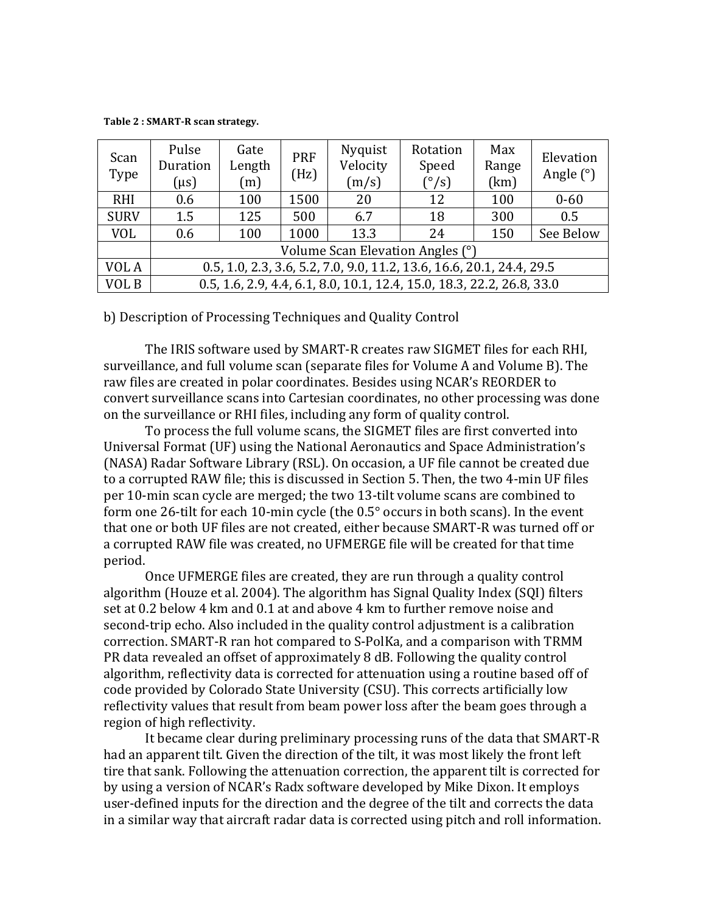**Table 2: SMART-R scan strategy.** 

| Scan<br>Type | Pulse<br>Duration<br>$(\mu s)$                                         | Gate<br>Length<br>(m) | <b>PRF</b><br>(Hz) | Nyquist<br>Velocity<br>(m/s) | Rotation<br>Speed<br>$(^{\circ}/s)$ | Max<br>Range<br>(km) | Elevation<br>Angle $(°)$ |
|--------------|------------------------------------------------------------------------|-----------------------|--------------------|------------------------------|-------------------------------------|----------------------|--------------------------|
| <b>RHI</b>   | 0.6                                                                    | 100                   | 1500               | 20                           | 12                                  | 100                  | $0 - 60$                 |
| <b>SURV</b>  | 1.5                                                                    | 125                   | 500                | 6.7                          | 18                                  | 300                  | 0.5                      |
| <b>VOL</b>   | 0.6                                                                    | 100                   | 1000               | 13.3                         | 24                                  | 150                  | See Below                |
|              | Volume Scan Elevation Angles (°)                                       |                       |                    |                              |                                     |                      |                          |
| VOL A        | 0.5, 1.0, 2.3, 3.6, 5.2, 7.0, 9.0, 11.2, 13.6, 16.6, 20.1, 24.4, 29.5  |                       |                    |                              |                                     |                      |                          |
| VOL B        | 0.5, 1.6, 2.9, 4.4, 6.1, 8.0, 10.1, 12.4, 15.0, 18.3, 22.2, 26.8, 33.0 |                       |                    |                              |                                     |                      |                          |

b) Description of Processing Techniques and Quality Control

The IRIS software used by SMART-R creates raw SIGMET files for each RHI, surveillance, and full volume scan (separate files for Volume A and Volume B). The raw files are created in polar coordinates. Besides using NCAR's REORDER to convert surveillance scans into Cartesian coordinates, no other processing was done on the surveillance or RHI files, including any form of quality control.

To process the full volume scans, the SIGMET files are first converted into Universal Format (UF) using the National Aeronautics and Space Administration's (NASA) Radar Software Library (RSL). On occasion, a UF file cannot be created due to a corrupted RAW file; this is discussed in Section 5. Then, the two 4-min UF files per 10-min scan cycle are merged; the two 13-tilt volume scans are combined to form one 26-tilt for each 10-min cycle (the 0.5° occurs in both scans). In the event that one or both UF files are not created, either because SMART-R was turned off or a corrupted RAW file was created, no UFMERGE file will be created for that time period.

Once UFMERGE files are created, they are run through a quality control algorithm (Houze et al. 2004). The algorithm has Signal Quality Index (SQI) filters set at 0.2 below 4 km and 0.1 at and above 4 km to further remove noise and second-trip echo. Also included in the quality control adjustment is a calibration correction. SMART-R ran hot compared to S-PolKa, and a comparison with TRMM PR data revealed an offset of approximately 8 dB. Following the quality control algorithm, reflectivity data is corrected for attenuation using a routine based off of code provided by Colorado State University (CSU). This corrects artificially low reflectivity values that result from beam power loss after the beam goes through a region of high reflectivity.

It became clear during preliminary processing runs of the data that SMART-R had an apparent tilt. Given the direction of the tilt, it was most likely the front left tire that sank. Following the attenuation correction, the apparent tilt is corrected for by using a version of NCAR's Radx software developed by Mike Dixon. It employs user-defined inputs for the direction and the degree of the tilt and corrects the data in a similar way that aircraft radar data is corrected using pitch and roll information.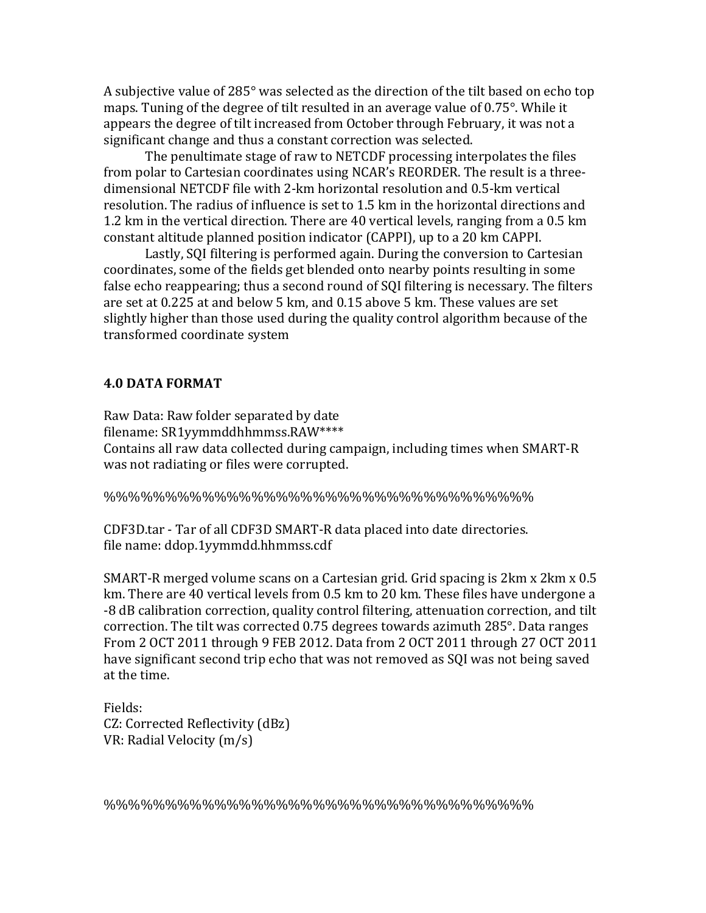A subjective value of 285 $^{\circ}$  was selected as the direction of the tilt based on echo top maps. Tuning of the degree of tilt resulted in an average value of 0.75°. While it appears the degree of tilt increased from October through February, it was not a significant change and thus a constant correction was selected.

The penultimate stage of raw to NETCDF processing interpolates the files from polar to Cartesian coordinates using NCAR's REORDER. The result is a threedimensional NETCDF file with 2-km horizontal resolution and 0.5-km vertical resolution. The radius of influence is set to 1.5 km in the horizontal directions and 1.2 km in the vertical direction. There are 40 vertical levels, ranging from a 0.5 km constant altitude planned position indicator (CAPPI), up to a 20 km CAPPI.

Lastly, SQI filtering is performed again. During the conversion to Cartesian coordinates, some of the fields get blended onto nearby points resulting in some false echo reappearing; thus a second round of SQI filtering is necessary. The filters are set at 0.225 at and below 5 km, and 0.15 above 5 km. These values are set slightly higher than those used during the quality control algorithm because of the transformed coordinate system

#### **4.0 DATA FORMAT**

Raw Data: Raw folder separated by date filename: SR1yymmddhhmmss.RAW\*\*\*\* Contains all raw data collected during campaign, including times when SMART-R was not radiating or files were corrupted.

%%%%%%%%%%%%%%%%%%%%%%%%%%%%%%%%%%%

CDF3D.tar - Tar of all CDF3D SMART-R data placed into date directories. file name: ddop.1yymmdd.hhmmss.cdf

SMART-R'merged volume scans on a Cartesian grid. Grid spacing is 2km x 2km x 0.5' km. There are 40 vertical levels from 0.5 km to 20 km. These files have undergone a -8 dB calibration correction, quality control filtering, attenuation correction, and tilt correction. The tilt was corrected 0.75 degrees towards azimuth 285°. Data ranges From 2 OCT 2011 through 9 FEB 2012. Data from 2 OCT 2011 through 27 OCT 2011 have significant second trip echo that was not removed as SQI was not being saved at the time.

Fields: CZ: Corrected Reflectivity (dBz) VR: Radial Velocity (m/s)

%%%%%%%%%%%%%%%%%%%%%%%%%%%%%%%%%%%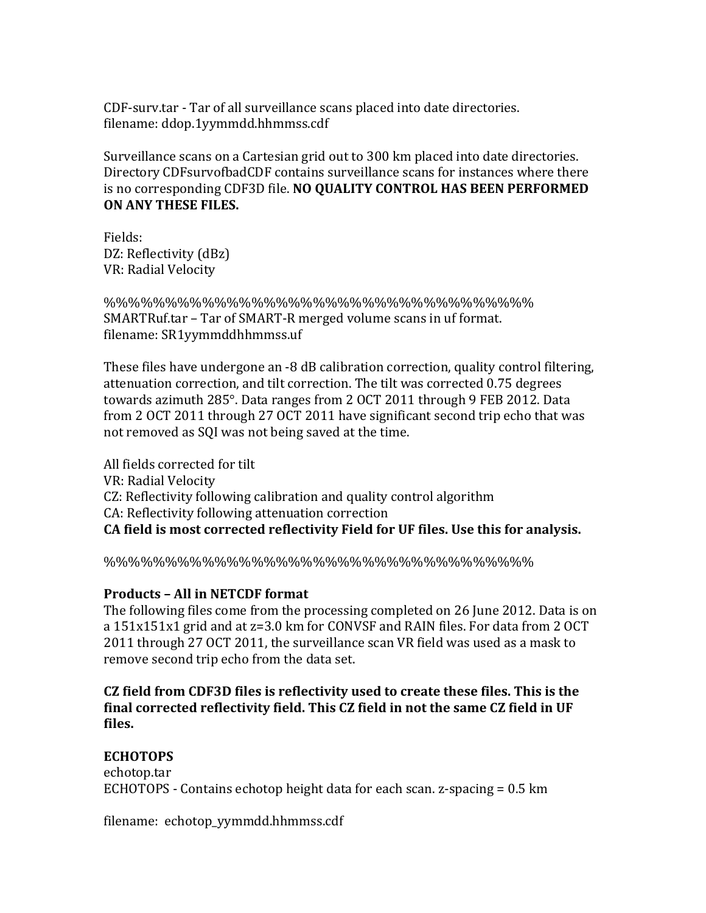CDF-surv.tar - Tar of all surveillance scans placed into date directories. filename: ddop.1yymmdd.hhmmss.cdf

Surveillance scans on a Cartesian grid out to 300 km placed into date directories. Directory CDFsurvofbadCDF contains surveillance scans for instances where there is no corresponding CDF3D file. NO QUALITY CONTROL HAS BEEN PERFORMED **ON ANY THESE FILES.** 

Fields: DZ: Reflectivity (dBz) VR: Radial Velocity

%%%%%%%%%%%%%%%%%%%%%%%%%%%%%%%%%%% SMARTRuf.tar – Tar of SMART-R merged volume scans in uf format. filename: SR1yymmddhhmmss.uf

These files have undergone an -8 dB calibration correction, quality control filtering, attenuation correction, and tilt correction. The tilt was corrected 0.75 degrees towards azimuth 285°. Data ranges from 2 OCT 2011 through 9 FEB 2012. Data from 2 OCT 2011 through 27 OCT 2011 have significant second trip echo that was not removed as SQI was not being saved at the time.

All fields corrected for tilt VR: Radial Velocity CZ: Reflectivity following calibration and quality control algorithm CA: Reflectivity following attenuation correction **CA field is most corrected reflectivity Field for UF files. Use this for analysis.** 

%%%%%%%%%%%%%%%%%%%%%%%%%%%%%%%%%%%

# **Products - All in NETCDF format**

The following files come from the processing completed on 26 June 2012. Data is on a  $151x151x1$  grid and at  $z=3.0$  km for CONVSF and RAIN files. For data from 2 OCT 2011 through 27 OCT 2011, the surveillance scan VR field was used as a mask to remove second trip echo from the data set.

**CZ** field from CDF3D files is reflectivity used to create these files. This is the final corrected reflectivity field. This CZ field in not the same CZ field in UF **files.\$**

# **ECHOTOPS**

echotop.tar ECHOTOPS - Contains echotop height data for each scan.  $z$ -spacing = 0.5 km

filename: echotop\_yymmdd.hhmmss.cdf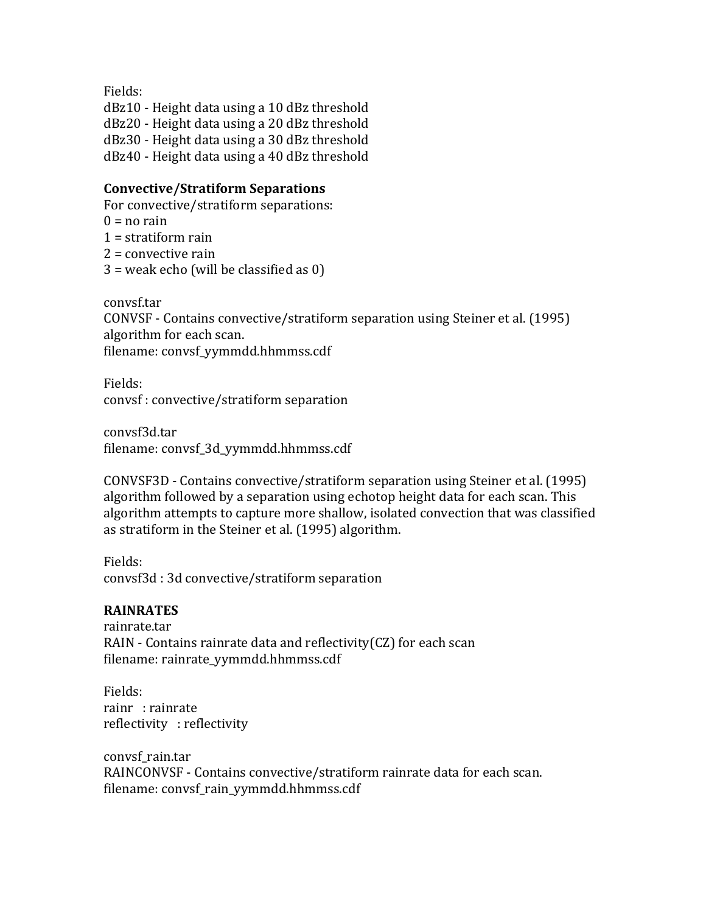Fields:

dBz10 - Height data using a 10 dBz threshold dBz20 - Height data using a 20 dBz threshold dBz30 - Height data using a 30 dBz threshold dBz40 - Height data using a 40 dBz threshold

### **Convective/Stratiform Separations**

For convective/stratiform separations:  $0 = \text{no rain}$  $1$  = stratiform rain  $2$  = convective rain  $3$  = weak echo (will be classified as 0)

convsf.tar

CONVSF - Contains convective/stratiform separation using Steiner et al. (1995) algorithm for each scan. filename: convsf yymmdd.hhmmss.cdf

Fields: convsf: convective/stratiform separation

convsf3d.tar filename: convsf\_3d\_yymmdd.hhmmss.cdf

CONVSF3D - Contains convective/stratiform separation using Steiner et al. (1995) algorithm' followed by a separation' using echotop height data for each scan. This algorithm attempts to capture more shallow, isolated convection that was classified as stratiform in the Steiner et al. (1995) algorithm.

Fields: convsf3d: 3d convective/stratiform separation

# **RAINRATES**

rainrate.tar RAIN - Contains rainrate data and reflectivity(CZ) for each scan filename: rainrate\_yymmdd.hhmmss.cdf

Fields: rainr : rainrate reflectivity : reflectivity

convsf\_rain.tar RAINCONVSF - Contains convective/stratiform rainrate data for each scan. filename: convsf\_rain\_yymmdd.hhmmss.cdf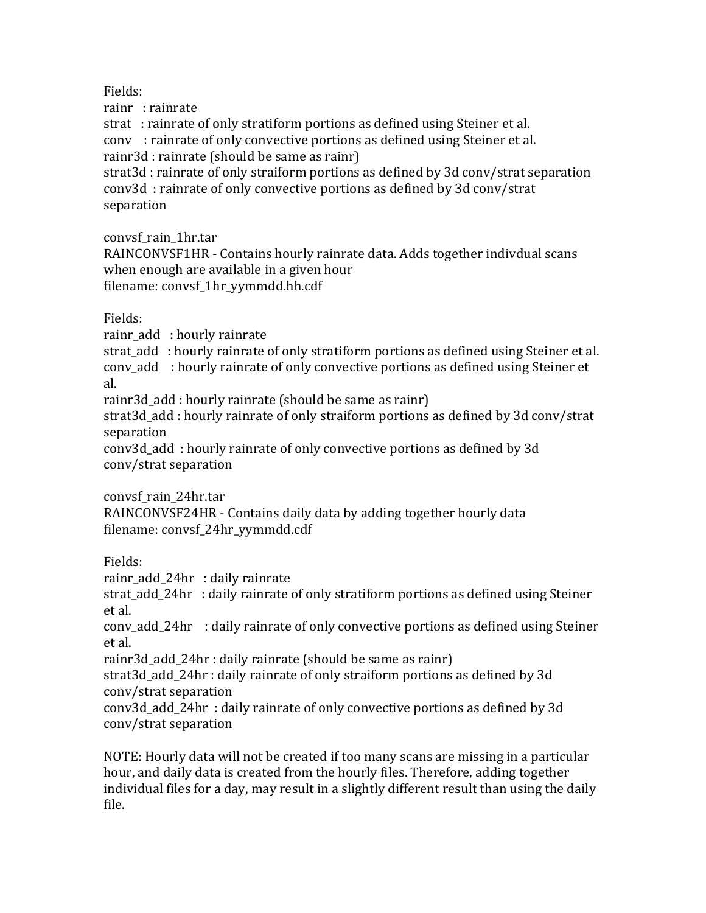Fields:

rainr: rainrate

strat: : rainrate of only stratiform portions as defined using Steiner et al. cony: rainrate of only convective portions as defined using Steiner et al. rainr3d : rainrate (should be same as rainr)

strat3d: rainrate of only straiform portions as defined by 3d conv/strat separation conv3d : rainrate of only convective portions as defined by 3d conv/strat separation

convsf\_rain\_1hr.tar

RAINCONVSF1HR - Contains hourly rainrate data. Adds together indivdual scans when enough are available in a given hour filename: convsf 1hr yymmdd.hh.cdf

# Fields:

rainr add : hourly rainrate

strat add : hourly rainrate of only stratiform portions as defined using Steiner et al. conv add : hourly rainrate of only convective portions as defined using Steiner et al.

rainr3d\_add: hourly rainrate (should be same as rainr)

strat3d\_add: hourly rainrate of only straiform portions as defined by 3d conv/strat separation

conv3d\_add :'hourly'rainrate'of'only'convective'portions'as'defined'by'3d' conv/strat separation

convsf\_rain\_24hr.tar

RAINCONVSF24HR - Contains daily data by adding together hourly data filename: convsf\_24hr\_yymmdd.cdf

Fields:

rainr add 24hr : daily rainrate

strat add 24hr : daily rainrate of only stratiform portions as defined using Steiner et al.

conv\_add\_24hr : daily rainrate of only convective portions as defined using Steiner et'al.

rainr3d\_add\_24hr: daily rainrate (should be same as rainr)

strat3d\_add\_24hr: daily rainrate of only straiform portions as defined by 3d conv/strat separation

conv3d\_add\_24hr: daily rainrate of only convective portions as defined by 3d conv/strat separation

NOTE: Hourly data will not be created if too many scans are missing in a particular hour, and daily data is created from the hourly files. Therefore, adding together individual files for a day, may result in a slightly different result than using the daily file.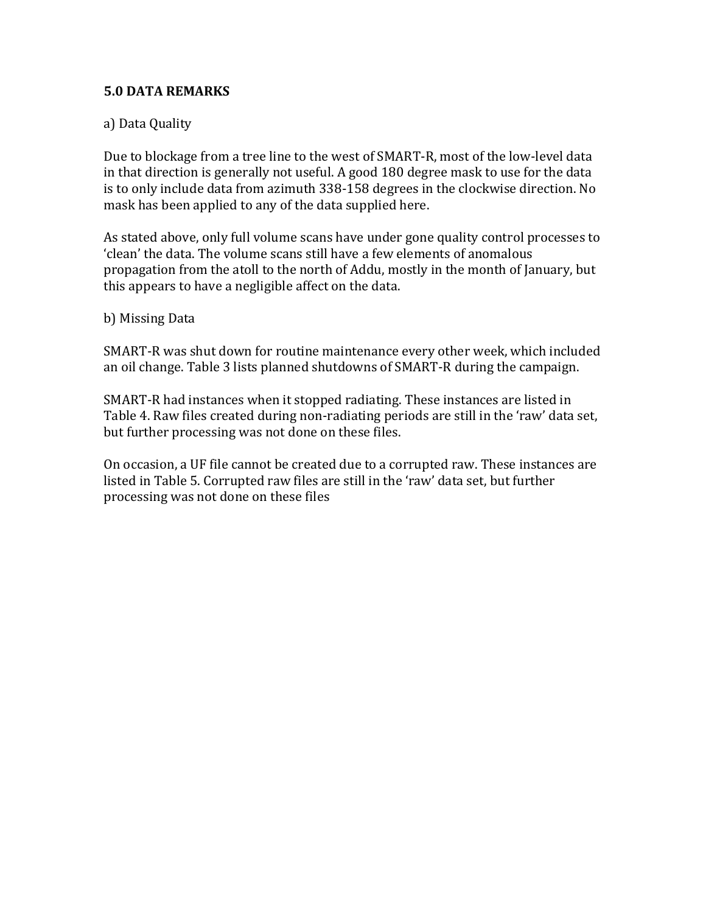# **5.0 DATA REMARKS**

# a) Data Quality

Due to blockage from a tree line to the west of SMART-R, most of the low-level data in that direction is generally not useful. A good 180 degree mask to use for the data is to only include data from azimuth 338-158 degrees in the clockwise direction. No mask has been applied to any of the data supplied here.

As stated above, only full volume scans have under gone quality control processes to 'clean' the data. The volume scans still have a few elements of anomalous propagation from the atoll to the north of Addu, mostly in the month of January, but this appears to have a negligible affect on the data.

#### b) Missing Data

SMART-R was shut down for routine maintenance every other week, which included an oil change. Table 3 lists planned shutdowns of SMART-R during the campaign.

SMART-R had instances when it stopped radiating. These instances are listed in Table 4. Raw files created during non-radiating periods are still in the 'raw' data set, but further processing was not done on these files.

On occasion, a UF file cannot be created due to a corrupted raw. These instances are listed in Table 5. Corrupted raw files are still in the 'raw' data set, but further processing was not done on these files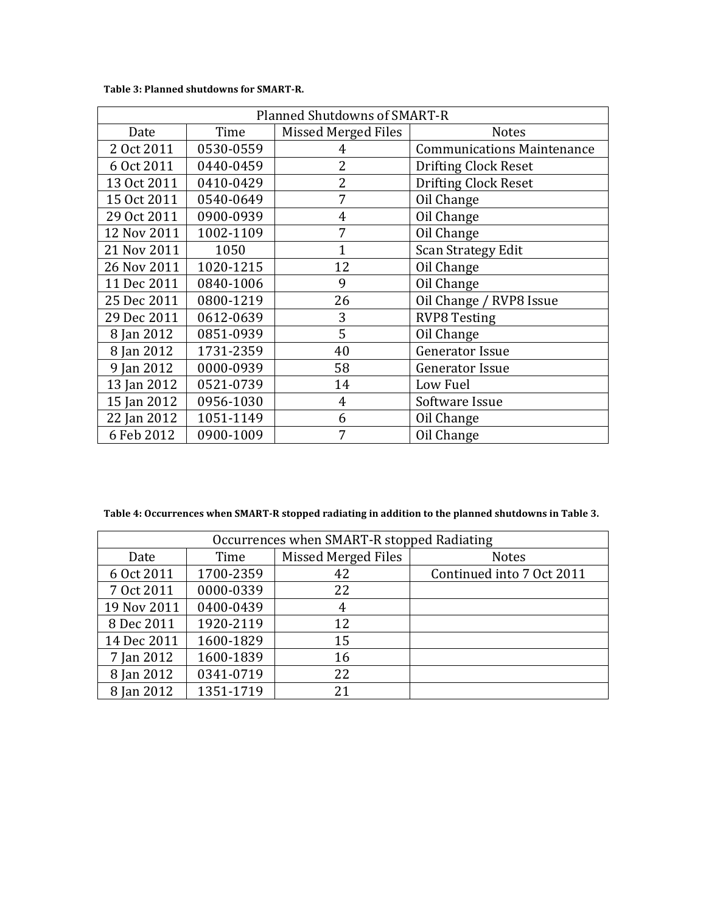Table 3: Planned shutdowns for SMART-R.

| Planned Shutdowns of SMART-R |           |                     |                                   |  |  |  |
|------------------------------|-----------|---------------------|-----------------------------------|--|--|--|
| Date                         | Time      | Missed Merged Files | <b>Notes</b>                      |  |  |  |
| 2 Oct 2011                   | 0530-0559 | 4                   | <b>Communications Maintenance</b> |  |  |  |
| 6 Oct 2011                   | 0440-0459 | 2                   | <b>Drifting Clock Reset</b>       |  |  |  |
| 13 Oct 2011                  | 0410-0429 | $\overline{2}$      | <b>Drifting Clock Reset</b>       |  |  |  |
| 15 Oct 2011                  | 0540-0649 | 7                   | Oil Change                        |  |  |  |
| 29 Oct 2011                  | 0900-0939 | 4                   | Oil Change                        |  |  |  |
| 12 Nov 2011                  | 1002-1109 | 7                   | Oil Change                        |  |  |  |
| 21 Nov 2011                  | 1050      |                     | <b>Scan Strategy Edit</b>         |  |  |  |
| 26 Nov 2011                  | 1020-1215 | 12                  | Oil Change                        |  |  |  |
| 11 Dec 2011                  | 0840-1006 | 9                   | Oil Change                        |  |  |  |
| 25 Dec 2011                  | 0800-1219 | 26                  | Oil Change / RVP8 Issue           |  |  |  |
| 29 Dec 2011                  | 0612-0639 | 3                   | <b>RVP8 Testing</b>               |  |  |  |
| 8 Jan 2012                   | 0851-0939 | 5                   | Oil Change                        |  |  |  |
| 8 Jan 2012                   | 1731-2359 | 40                  | <b>Generator Issue</b>            |  |  |  |
| 9 Jan 2012                   | 0000-0939 | 58                  | <b>Generator Issue</b>            |  |  |  |
| 13 Jan 2012                  | 0521-0739 | 14                  | Low Fuel                          |  |  |  |
| 15 Jan 2012                  | 0956-1030 | $\overline{4}$      | Software Issue                    |  |  |  |
| 22 Jan 2012                  | 1051-1149 | 6                   | Oil Change                        |  |  |  |
| 6 Feb 2012                   | 0900-1009 | 7                   | Oil Change                        |  |  |  |

Table 4: Occurrences when SMART-R stopped radiating in addition to the planned shutdowns in Table 3.

| Occurrences when SMART-R stopped Radiating |           |                     |                           |  |  |  |
|--------------------------------------------|-----------|---------------------|---------------------------|--|--|--|
| Date                                       | Time      | Missed Merged Files | <b>Notes</b>              |  |  |  |
| 6 Oct 2011                                 | 1700-2359 | 42                  | Continued into 7 Oct 2011 |  |  |  |
| 7 Oct 2011                                 | 0000-0339 | 22                  |                           |  |  |  |
| 19 Nov 2011                                | 0400-0439 | 4                   |                           |  |  |  |
| 8 Dec 2011                                 | 1920-2119 | 12                  |                           |  |  |  |
| 14 Dec 2011                                | 1600-1829 | 15                  |                           |  |  |  |
| 7 Jan 2012                                 | 1600-1839 | 16                  |                           |  |  |  |
| 8 Jan 2012                                 | 0341-0719 | 22                  |                           |  |  |  |
| 8 Jan 2012                                 | 1351-1719 | 21                  |                           |  |  |  |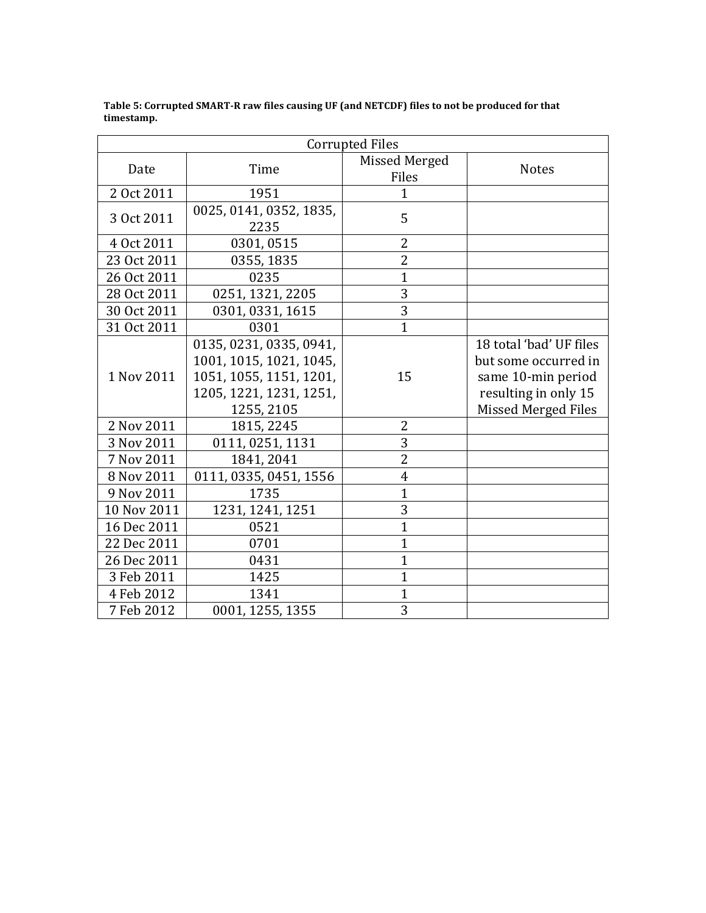| <b>Corrupted Files</b> |                                                                                                                        |                        |                                                                                                                      |  |  |  |
|------------------------|------------------------------------------------------------------------------------------------------------------------|------------------------|----------------------------------------------------------------------------------------------------------------------|--|--|--|
| Date                   | Time                                                                                                                   | Missed Merged<br>Files | <b>Notes</b>                                                                                                         |  |  |  |
| 2 Oct 2011             | 1951                                                                                                                   |                        |                                                                                                                      |  |  |  |
|                        | 0025, 0141, 0352, 1835,                                                                                                |                        |                                                                                                                      |  |  |  |
| 3 Oct 2011             | 2235                                                                                                                   | 5                      |                                                                                                                      |  |  |  |
| 4 Oct 2011             | 0301,0515                                                                                                              | $\overline{2}$         |                                                                                                                      |  |  |  |
| 23 Oct 2011            | 0355, 1835                                                                                                             | $\overline{2}$         |                                                                                                                      |  |  |  |
| 26 Oct 2011            | 0235                                                                                                                   | $\overline{1}$         |                                                                                                                      |  |  |  |
| 28 Oct 2011            | 0251, 1321, 2205                                                                                                       | 3                      |                                                                                                                      |  |  |  |
| 30 Oct 2011            | 0301, 0331, 1615                                                                                                       | 3                      |                                                                                                                      |  |  |  |
| 31 Oct 2011            | 0301                                                                                                                   | $\mathbf{1}$           |                                                                                                                      |  |  |  |
| 1 Nov 2011             | 0135, 0231, 0335, 0941,<br>1001, 1015, 1021, 1045,<br>1051, 1055, 1151, 1201,<br>1205, 1221, 1231, 1251,<br>1255, 2105 | 15                     | 18 total 'bad' UF files<br>but some occurred in<br>same 10-min period<br>resulting in only 15<br>Missed Merged Files |  |  |  |
| 2 Nov 2011             | 1815, 2245                                                                                                             | 2                      |                                                                                                                      |  |  |  |
| 3 Nov 2011             | 0111, 0251, 1131                                                                                                       | 3                      |                                                                                                                      |  |  |  |
| 7 Nov 2011             | 1841, 2041                                                                                                             | $\overline{2}$         |                                                                                                                      |  |  |  |
| 8 Nov 2011             | 0111, 0335, 0451, 1556                                                                                                 | $\overline{4}$         |                                                                                                                      |  |  |  |
| 9 Nov 2011             | 1735                                                                                                                   | $\overline{1}$         |                                                                                                                      |  |  |  |
| 10 Nov 2011            | 1231, 1241, 1251                                                                                                       | 3                      |                                                                                                                      |  |  |  |
| 16 Dec 2011            | 0521                                                                                                                   | $\overline{1}$         |                                                                                                                      |  |  |  |
| 22 Dec 2011            | 0701                                                                                                                   | $\overline{1}$         |                                                                                                                      |  |  |  |
| 26 Dec 2011            | 0431                                                                                                                   | $\overline{1}$         |                                                                                                                      |  |  |  |
| 3 Feb 2011             | 1425                                                                                                                   | $\overline{1}$         |                                                                                                                      |  |  |  |
| 4 Feb 2012             | 1341                                                                                                                   | 1                      |                                                                                                                      |  |  |  |
| 7 Feb 2012             | 0001, 1255, 1355                                                                                                       | 3                      |                                                                                                                      |  |  |  |

Table 5: Corrupted SMART-R raw files causing UF (and NETCDF) files to not be produced for that **timestamp.**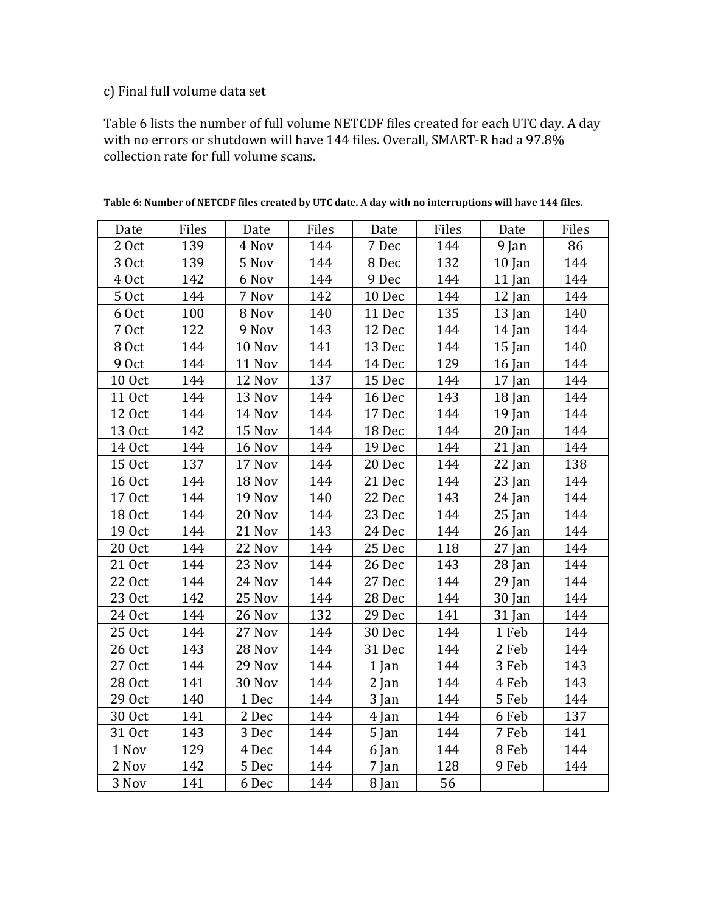# c) Final full volume data set

Table 6 lists the number of full volume NETCDF files created for each UTC day. A day with no errors or shutdown will have 144 files. Overall, SMART-R had a 97.8% collection rate for full volume scans.

| Date          | Files | Date   | Files | Date    | Files | Date     | Files |
|---------------|-------|--------|-------|---------|-------|----------|-------|
| 2 Oct         | 139   | 4 Nov  | 144   | 7 Dec   | 144   | 9 Jan    | 86    |
| 3 Oct         | 139   | 5 Nov  | 144   | 8 Dec   | 132   | $10$ Jan | 144   |
| 4 Oct         | 142   | 6 Nov  | 144   | 9 Dec   | 144   | 11 Jan   | 144   |
| 50ct          | 144   | 7 Nov  | 142   | 10 Dec  | 144   | 12 Jan   | 144   |
| 6 Oct         | 100   | 8 Nov  | 140   | 11 Dec  | 135   | $13$ Jan | 140   |
| 7 Oct         | 122   | 9 Nov  | 143   | 12 Dec  | 144   | 14 Jan   | 144   |
| 8 Oct         | 144   | 10 Nov | 141   | 13 Dec  | 144   | $15$ Jan | 140   |
| 9 Oct         | 144   | 11 Nov | 144   | 14 Dec  | 129   | 16 Jan   | 144   |
| <b>10 Oct</b> | 144   | 12 Nov | 137   | 15 Dec  | 144   | 17 Jan   | 144   |
| 11 Oct        | 144   | 13 Nov | 144   | 16 Dec  | 143   | 18 Jan   | 144   |
| 12 Oct        | 144   | 14 Nov | 144   | 17 Dec  | 144   | 19 Jan   | 144   |
| 13 Oct        | 142   | 15 Nov | 144   | 18 Dec  | 144   | $20$ Jan | 144   |
| 14 Oct        | 144   | 16 Nov | 144   | 19 Dec  | 144   | 21 Jan   | 144   |
| 15 Oct        | 137   | 17 Nov | 144   | 20 Dec  | 144   | $22$ Jan | 138   |
| <b>16 Oct</b> | 144   | 18 Nov | 144   | 21 Dec  | 144   | 23 Jan   | 144   |
| 17 Oct        | 144   | 19 Nov | 140   | 22 Dec  | 143   | 24 Jan   | 144   |
| 18 Oct        | 144   | 20 Nov | 144   | 23 Dec  | 144   | 25 Jan   | 144   |
| 19 Oct        | 144   | 21 Nov | 143   | 24 Dec  | 144   | 26 Jan   | 144   |
| 20 Oct        | 144   | 22 Nov | 144   | 25 Dec  | 118   | 27 Jan   | 144   |
| 21 Oct        | 144   | 23 Nov | 144   | 26 Dec  | 143   | $28$ Jan | 144   |
| 22 Oct        | 144   | 24 Nov | 144   | 27 Dec  | 144   | $29$ Jan | 144   |
| 23 Oct        | 142   | 25 Nov | 144   | 28 Dec  | 144   | 30 Jan   | 144   |
| 24 Oct        | 144   | 26 Nov | 132   | 29 Dec  | 141   | 31 Jan   | 144   |
| 25 Oct        | 144   | 27 Nov | 144   | 30 Dec  | 144   | 1 Feb    | 144   |
| 26 Oct        | 143   | 28 Nov | 144   | 31 Dec  | 144   | 2 Feb    | 144   |
| 27 Oct        | 144   | 29 Nov | 144   | $1$ Jan | 144   | 3 Feb    | 143   |
| 28 Oct        | 141   | 30 Nov | 144   | $2$ Jan | 144   | 4 Feb    | 143   |
| 29 Oct        | 140   | 1 Dec  | 144   | 3 Jan   | 144   | 5 Feb    | 144   |
| 30 Oct        | 141   | 2 Dec  | 144   | 4 Jan   | 144   | 6 Feb    | 137   |
| 31 Oct        | 143   | 3 Dec  | 144   | 5 Jan   | 144   | 7 Feb    | 141   |
| 1 Nov         | 129   | 4 Dec  | 144   | 6 Jan   | 144   | 8 Feb    | 144   |
| 2 Nov         | 142   | 5 Dec  | 144   | 7 Jan   | 128   | 9 Feb    | 144   |
| 3 Nov         | 141   | 6 Dec  | 144   | 8 Jan   | 56    |          |       |

Table 6: Number of NETCDF files created by UTC date. A day with no interruptions will have 144 files.